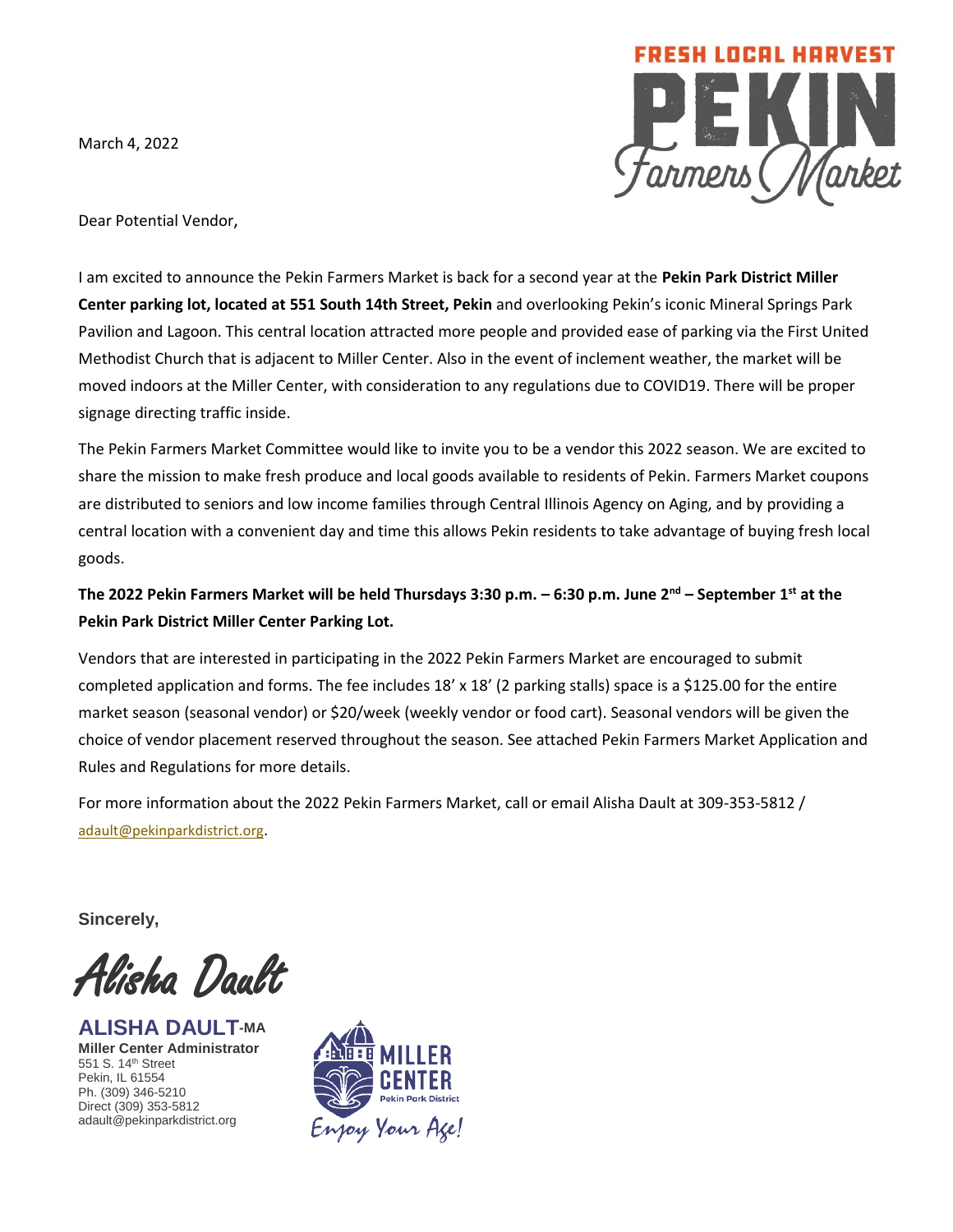March 4, 2022



Dear Potential Vendor,

I am excited to announce the Pekin Farmers Market is back for a second year at the **Pekin Park District Miller Center parking lot, located at 551 South 14th Street, Pekin** and overlooking Pekin's iconic Mineral Springs Park Pavilion and Lagoon. This central location attracted more people and provided ease of parking via the First United Methodist Church that is adjacent to Miller Center. Also in the event of inclement weather, the market will be moved indoors at the Miller Center, with consideration to any regulations due to COVID19. There will be proper signage directing traffic inside.

The Pekin Farmers Market Committee would like to invite you to be a vendor this 2022 season. We are excited to share the mission to make fresh produce and local goods available to residents of Pekin. Farmers Market coupons are distributed to seniors and low income families through Central Illinois Agency on Aging, and by providing a central location with a convenient day and time this allows Pekin residents to take advantage of buying fresh local goods.

## **The 2022 Pekin Farmers Market will be held Thursdays 3:30 p.m. – 6:30 p.m. June 2nd – September 1 st at the Pekin Park District Miller Center Parking Lot.**

Vendors that are interested in participating in the 2022 Pekin Farmers Market are encouraged to submit completed application and forms. The fee includes 18' x 18' (2 parking stalls) space is a \$125.00 for the entire market season (seasonal vendor) or \$20/week (weekly vendor or food cart). Seasonal vendors will be given the choice of vendor placement reserved throughout the season. See attached Pekin Farmers Market Application and Rules and Regulations for more details.

For more information about the 2022 Pekin Farmers Market, call or email Alisha Dault at 309-353-5812 / [adault@pekinparkdistrict.org](mailto:adault@pekinparkdistrict.org).

**Sincerely,**

Alisha Dault

**ALISHA DAULT-MA Miller Center Administrator** 551 S. 14th Street Pekin, IL 61554 Ph. (309) 346-5210 Direct (309) 353-5812 adault@pekinparkdistrict.org

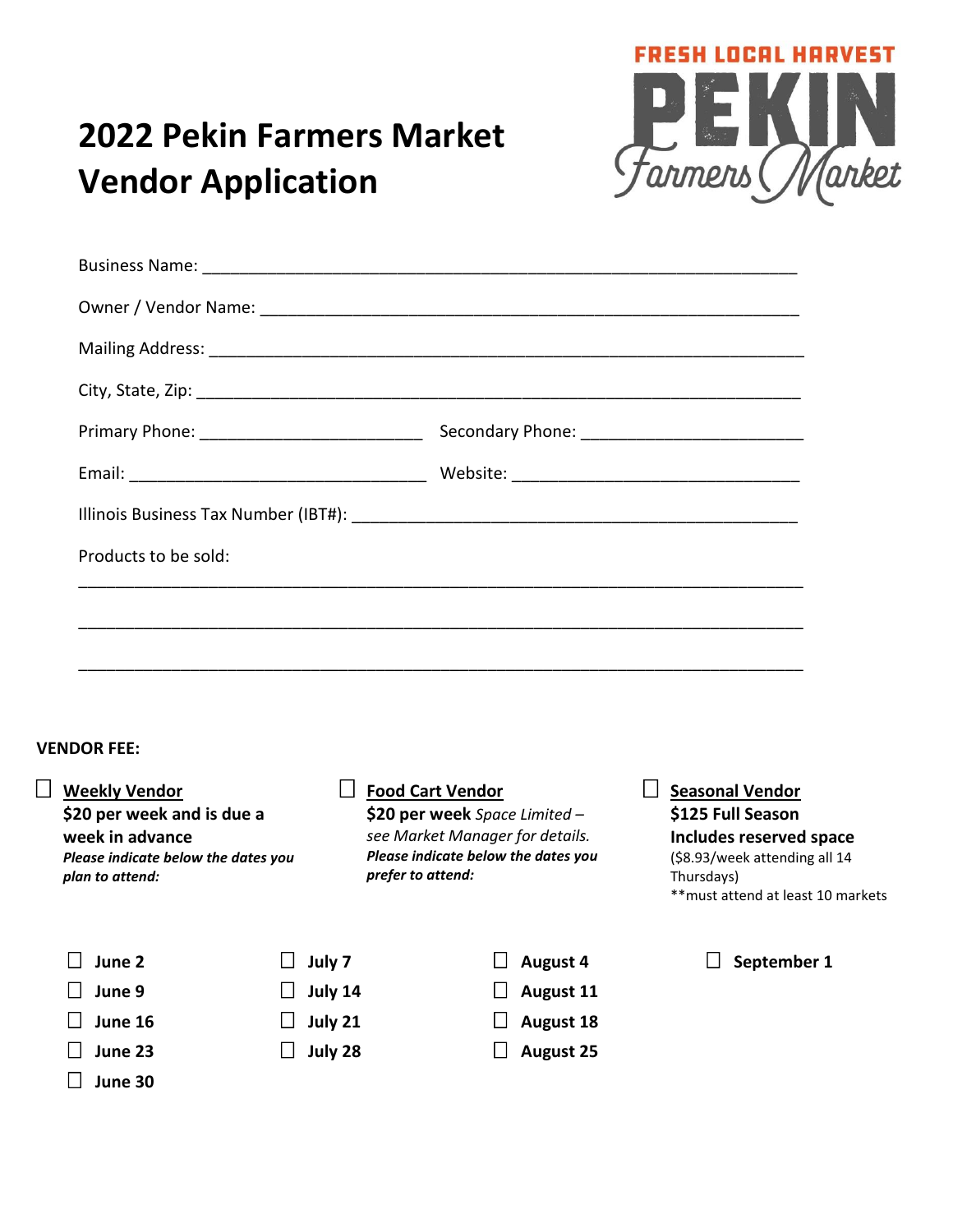

# **2022 Pekin Farmers Market Vendor Application**

 $\Box$ 

**June 30**

| Products to be sold:                                                                                               |         |                                                                                   |                                              |
|--------------------------------------------------------------------------------------------------------------------|---------|-----------------------------------------------------------------------------------|----------------------------------------------|
|                                                                                                                    |         |                                                                                   |                                              |
|                                                                                                                    |         |                                                                                   |                                              |
|                                                                                                                    |         |                                                                                   |                                              |
|                                                                                                                    |         |                                                                                   |                                              |
| <b>VENDOR FEE:</b>                                                                                                 |         |                                                                                   |                                              |
| Weekly Vendor<br>$\Box$ Food Cart Vendor<br>\$20 per week and is due a                                             |         |                                                                                   | $\Box$ Seasonal Vendor                       |
| week in advance                                                                                                    |         | \$20 per week Space Limited -<br>see Market Manager for details.                  | \$125 Full Season<br>Includes reserved space |
| Please indicate below the dates you<br>Please indicate below the dates you<br>prefer to attend:<br>plan to attend: |         | (\$8.93/week attending all 14<br>Thursdays)<br>** must attend at least 10 markets |                                              |
| June 2                                                                                                             | July 7  | <b>August 4</b>                                                                   | September 1                                  |
| June 9                                                                                                             | July 14 | <b>August 11</b>                                                                  |                                              |
| June 16                                                                                                            | July 21 | <b>August 18</b>                                                                  |                                              |
| June 23<br>$\perp$                                                                                                 | July 28 | <b>August 25</b>                                                                  |                                              |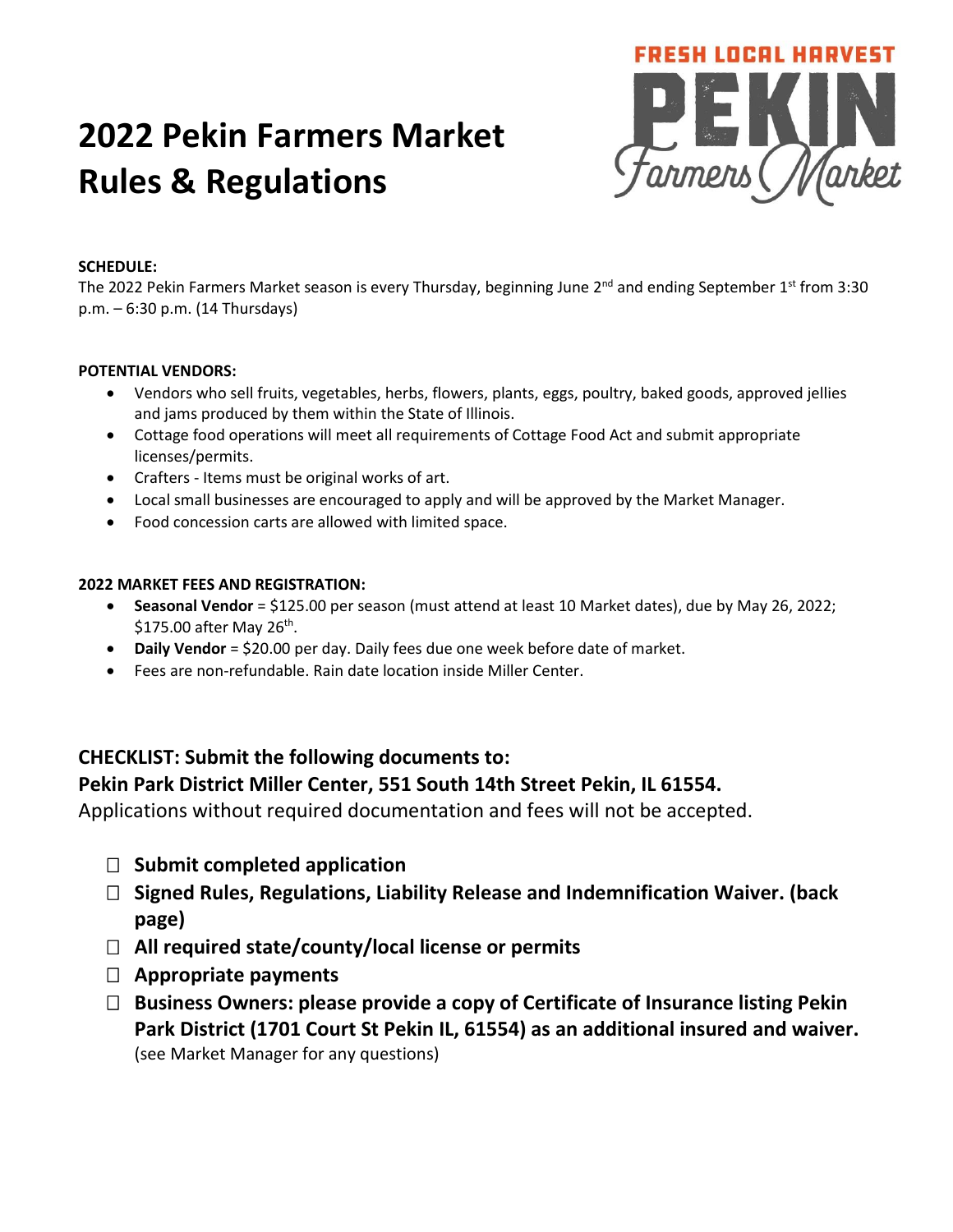# **2022 Pekin Farmers Market Rules & Regulations**



#### **SCHEDULE:**

The 2022 Pekin Farmers Market season is every Thursday, beginning June  $2^{nd}$  and ending September 1st from 3:30 p.m. – 6:30 p.m. (14 Thursdays)

#### **POTENTIAL VENDORS:**

- Vendors who sell fruits, vegetables, herbs, flowers, plants, eggs, poultry, baked goods, approved jellies and jams produced by them within the State of Illinois.
- Cottage food operations will meet all requirements of Cottage Food Act and submit appropriate licenses/permits.
- Crafters Items must be original works of art.
- Local small businesses are encouraged to apply and will be approved by the Market Manager.
- Food concession carts are allowed with limited space.

#### **2022 MARKET FEES AND REGISTRATION:**

- **Seasonal Vendor** = \$125.00 per season (must attend at least 10 Market dates), due by May 26, 2022; \$175.00 after May 26<sup>th</sup>.
- **Daily Vendor** = \$20.00 per day. Daily fees due one week before date of market.
- Fees are non-refundable. Rain date location inside Miller Center.

### **CHECKLIST: Submit the following documents to:**

### **Pekin Park District Miller Center, 551 South 14th Street Pekin, IL 61554.**

Applications without required documentation and fees will not be accepted.

- **Submit completed application**
- **Signed Rules, Regulations, Liability Release and Indemnification Waiver. (back page)**
- **All required state/county/local license or permits**
- **Appropriate payments**
- **Business Owners: please provide a copy of Certificate of Insurance listing Pekin Park District (1701 Court St Pekin IL, 61554) as an additional insured and waiver.** (see Market Manager for any questions)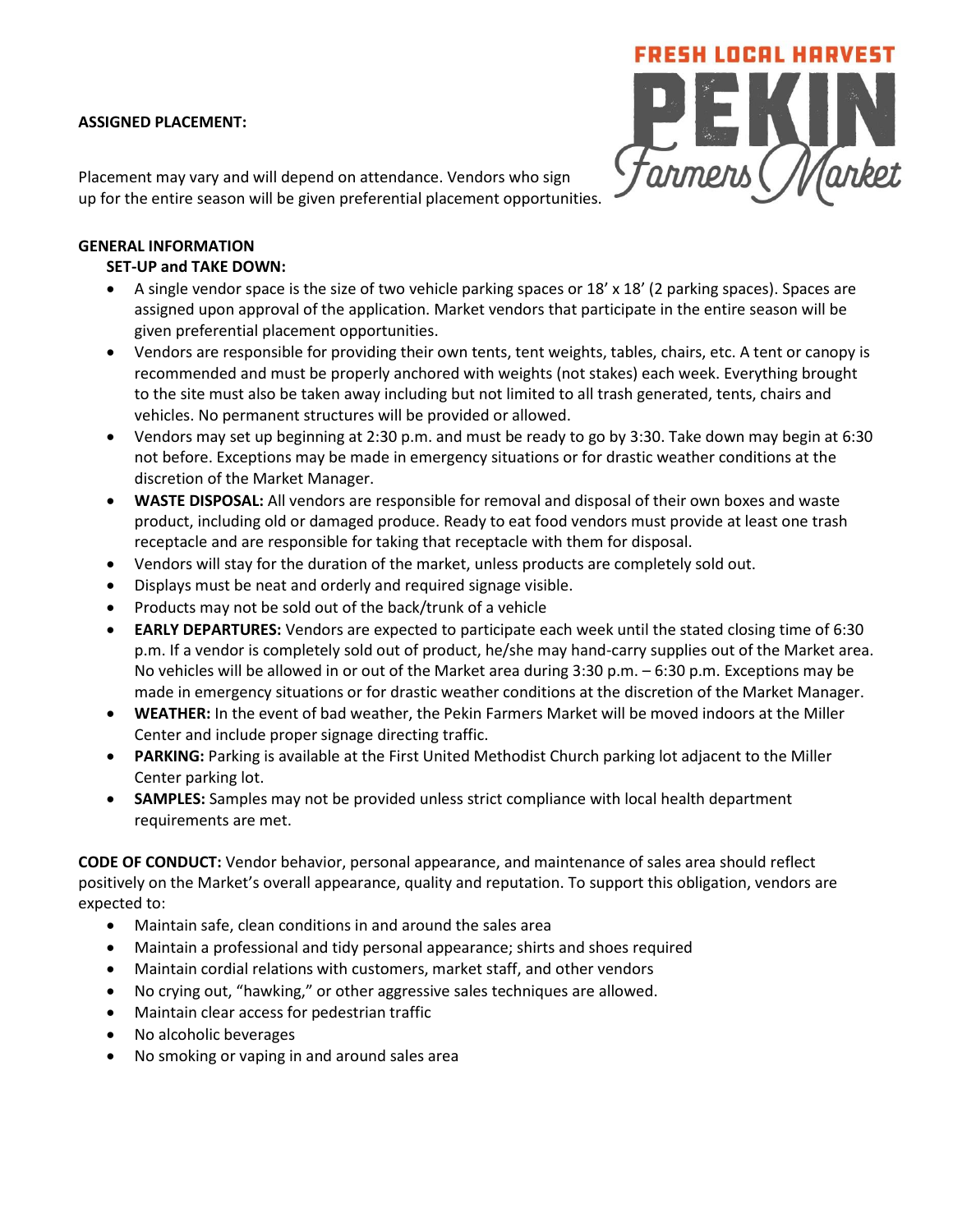#### **ASSIGNED PLACEMENT:**

Placement may vary and will depend on attendance. Vendors who sign up for the entire season will be given preferential placement opportunities.



#### **GENERAL INFORMATION**

#### **SET-UP and TAKE DOWN:**

- A single vendor space is the size of two vehicle parking spaces or 18' x 18' (2 parking spaces). Spaces are assigned upon approval of the application. Market vendors that participate in the entire season will be given preferential placement opportunities.
- Vendors are responsible for providing their own tents, tent weights, tables, chairs, etc. A tent or canopy is recommended and must be properly anchored with weights (not stakes) each week. Everything brought to the site must also be taken away including but not limited to all trash generated, tents, chairs and vehicles. No permanent structures will be provided or allowed.
- Vendors may set up beginning at 2:30 p.m. and must be ready to go by 3:30. Take down may begin at 6:30 not before. Exceptions may be made in emergency situations or for drastic weather conditions at the discretion of the Market Manager.
- **WASTE DISPOSAL:** All vendors are responsible for removal and disposal of their own boxes and waste product, including old or damaged produce. Ready to eat food vendors must provide at least one trash receptacle and are responsible for taking that receptacle with them for disposal.
- Vendors will stay for the duration of the market, unless products are completely sold out.
- Displays must be neat and orderly and required signage visible.
- Products may not be sold out of the back/trunk of a vehicle
- **EARLY DEPARTURES:** Vendors are expected to participate each week until the stated closing time of 6:30 p.m. If a vendor is completely sold out of product, he/she may hand-carry supplies out of the Market area. No vehicles will be allowed in or out of the Market area during 3:30 p.m. – 6:30 p.m. Exceptions may be made in emergency situations or for drastic weather conditions at the discretion of the Market Manager.
- **WEATHER:** In the event of bad weather, the Pekin Farmers Market will be moved indoors at the Miller Center and include proper signage directing traffic.
- **PARKING:** Parking is available at the First United Methodist Church parking lot adjacent to the Miller Center parking lot.
- **SAMPLES:** Samples may not be provided unless strict compliance with local health department requirements are met.

**CODE OF CONDUCT:** Vendor behavior, personal appearance, and maintenance of sales area should reflect positively on the Market's overall appearance, quality and reputation. To support this obligation, vendors are expected to:

- Maintain safe, clean conditions in and around the sales area
- Maintain a professional and tidy personal appearance; shirts and shoes required
- Maintain cordial relations with customers, market staff, and other vendors
- No crying out, "hawking," or other aggressive sales techniques are allowed.
- Maintain clear access for pedestrian traffic
- No alcoholic beverages
- No smoking or vaping in and around sales area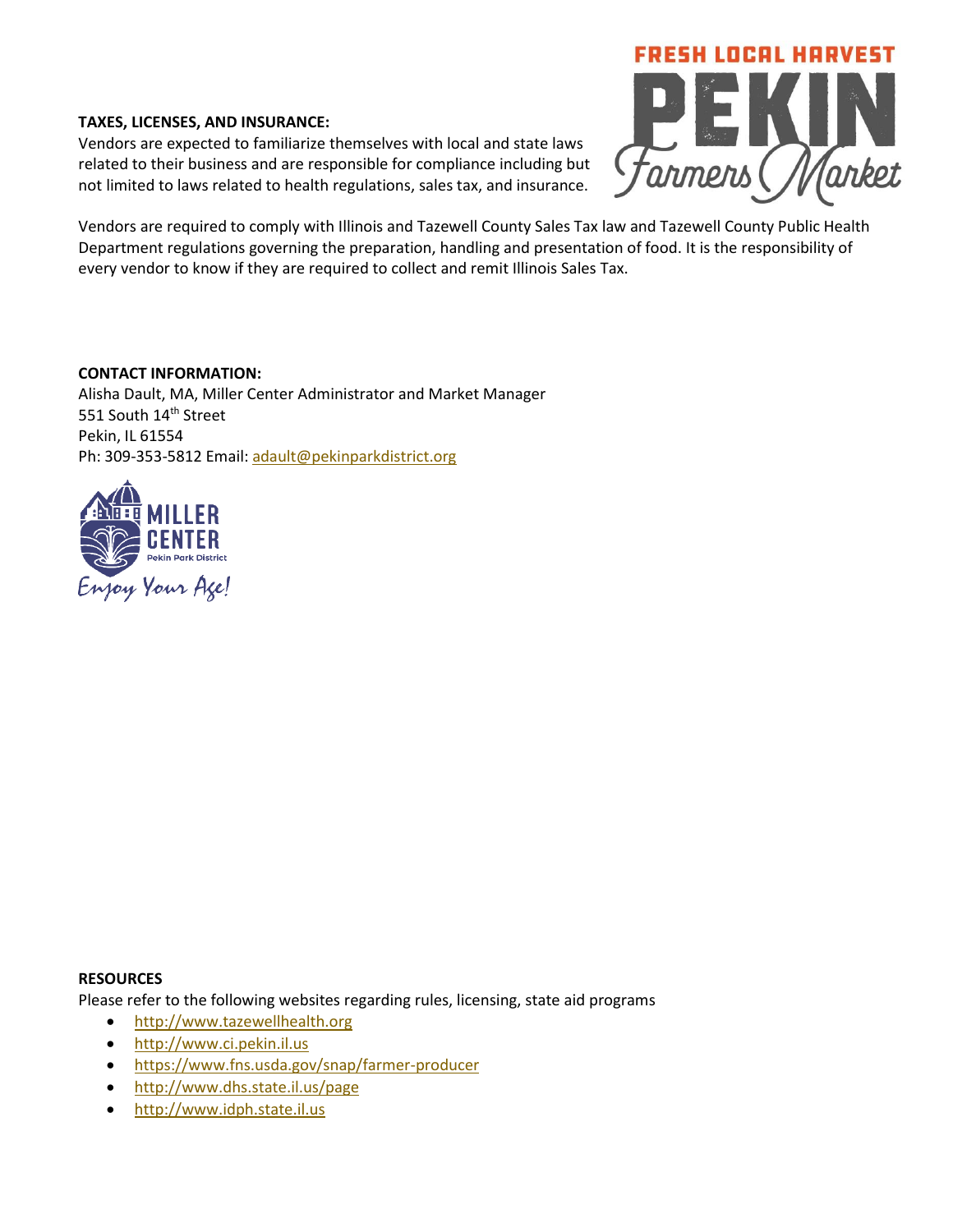#### **TAXES, LICENSES, AND INSURANCE:**

Vendors are expected to familiarize themselves with local and state laws related to their business and are responsible for compliance including but not limited to laws related to health regulations, sales tax, and insurance.



Vendors are required to comply with Illinois and Tazewell County Sales Tax law and Tazewell County Public Health Department regulations governing the preparation, handling and presentation of food. It is the responsibility of every vendor to know if they are required to collect and remit Illinois Sales Tax.

#### **CONTACT INFORMATION:**

Alisha Dault, MA, Miller Center Administrator and Market Manager 551 South 14<sup>th</sup> Street Pekin, IL 61554 Ph: 309-353-5812 Email: [adault@pekinparkdistrict.org](mailto:adault@pekinparkdistrict.org)



#### **RESOURCES**

Please refer to the following websites regarding rules, licensing, state aid programs

- [http://www.tazewellhealth.org](http://www.tazewellhealth.org/)
- [http://www.ci.pekin.il.us](http://www.ci.pekin.il.us/)
- <https://www.fns.usda.gov/snap/farmer-producer>
- <http://www.dhs.state.il.us/page>
- [http://www.idph.state.il.us](http://www.idph.state.il.us/)